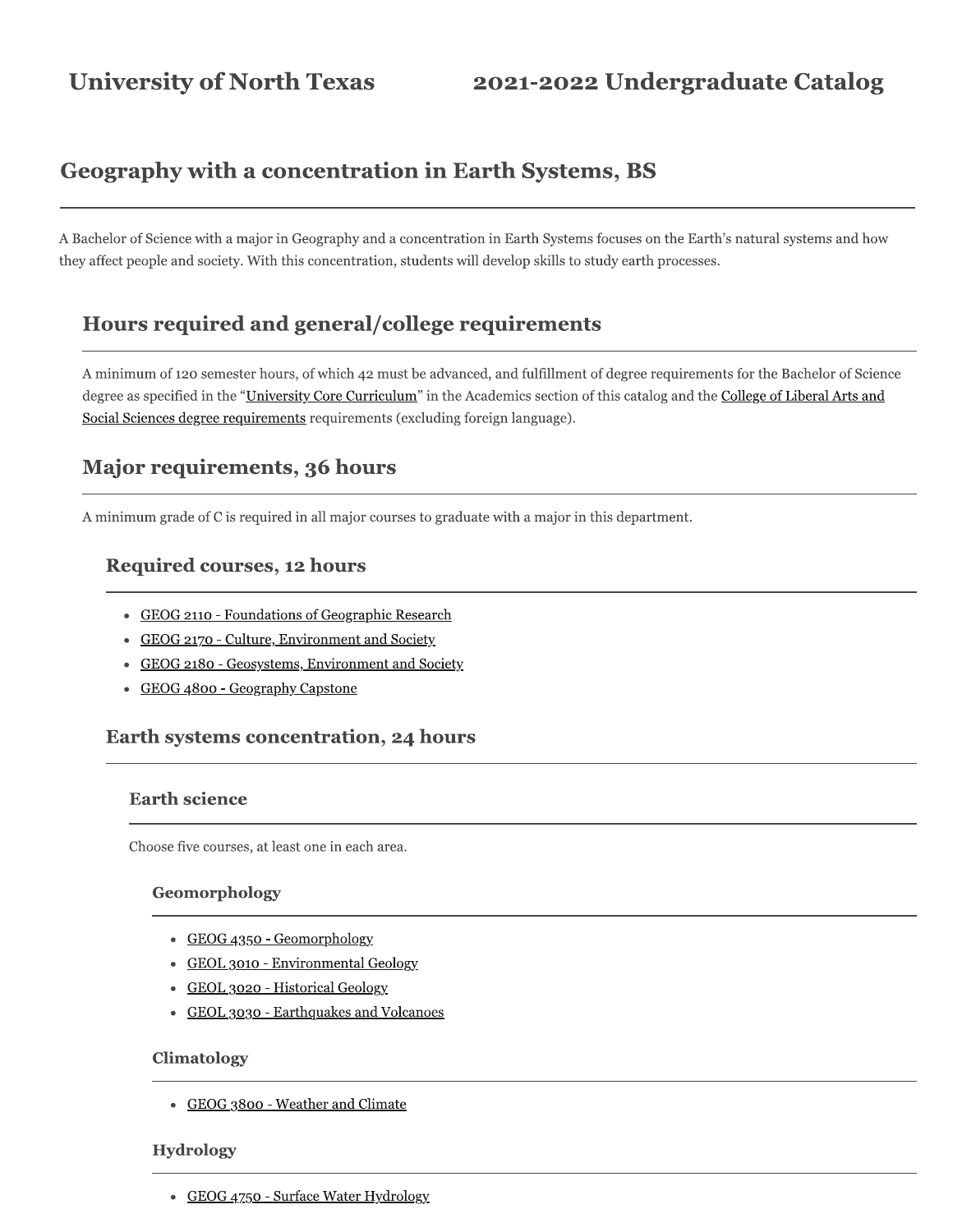# **Geography with a concentration in Earth Systems, BS**

A Bachelor of Science with a major in Geography and a concentration in Earth Systems focuses on the Earth's natural systems and how they affect people and society. With this concentration, students will develop skills to study earth processes.

## Hours required and general/college requirements

A minimum of 120 semester hours, of which 42 must be advanced, and fulfillment of degree requirements for the Bachelor of Science degree as specified in the "University Core Curriculum" in the Academics section of this catalog and the College of Liberal Arts and Social Sciences degree requirements requirements (excluding foreign language).

## Major requirements, 36 hours

A minimum grade of C is required in all major courses to graduate with a major in this department.

## **Required courses, 12 hours**

- GEOG 2110 Foundations of Geographic Research
- GEOG 2170 Culture, Environment and Society
- GEOG 2180 Geosystems, Environment and Society
- GEOG 4800 Geography Capstone

### **Earth systems concentration, 24 hours**

#### **Earth science**

Choose five courses, at least one in each area.

#### Geomorphology

- GEOG 4350 Geomorphology
- GEOL 3010 Environmental Geology
- GEOL 3020 Historical Geology
- GEOL 3030 Earthquakes and Volcanoes

#### **Climatology**

• GEOG 3800 - Weather and Climate

#### **Hydrology**

• GEOG 4750 - Surface Water Hydrology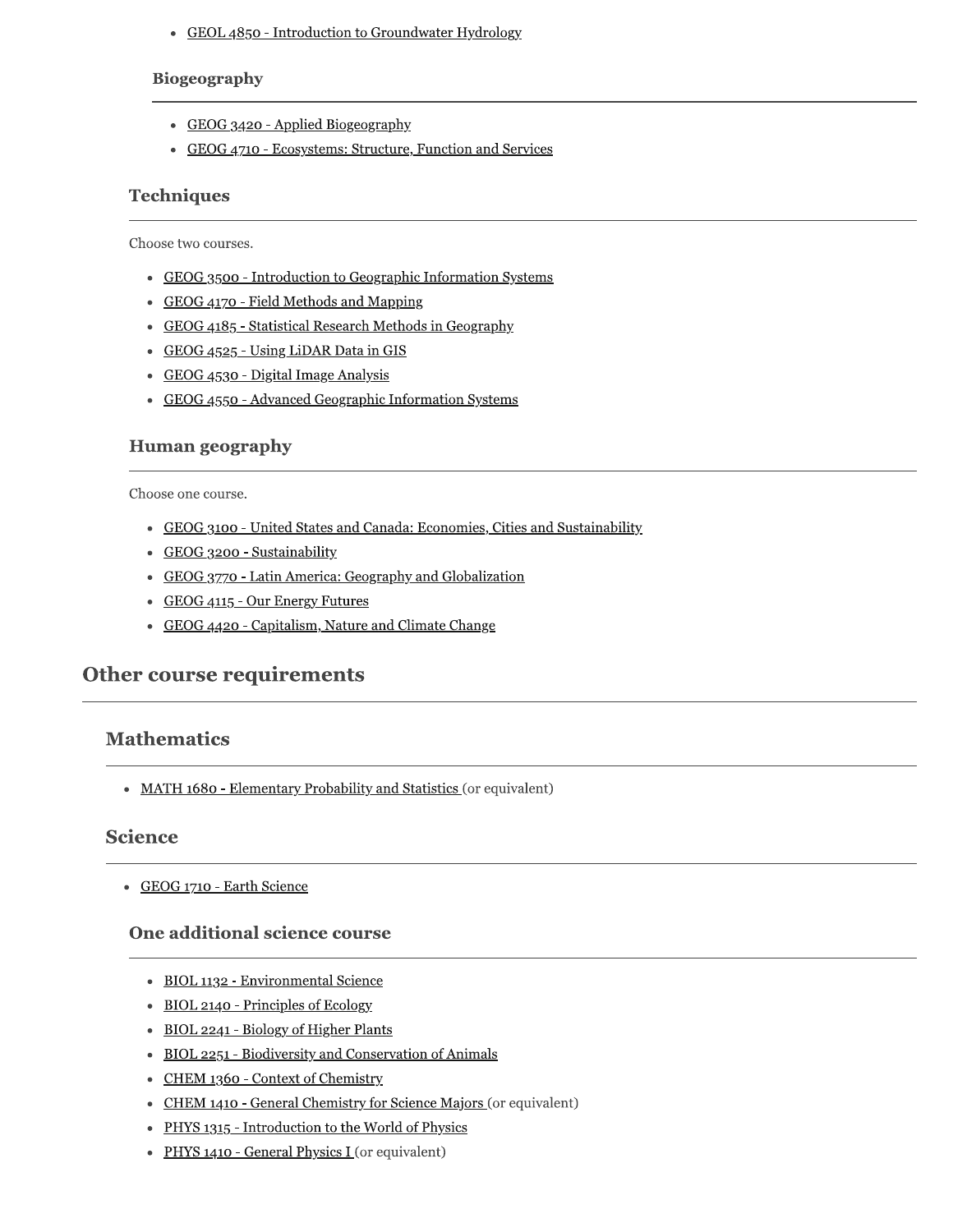• GEOL 4850 - Introduction to Groundwater Hydrology

#### **Biogeography**

- GEOG 3420 Applied Biogeography
- GEOG 4710 Ecosystems: Structure, Function and Services

### **Techniques**

Choose two courses.

- GEOG 3500 Introduction to Geographic Information Systems
- GEOG 4170 Field Methods and Mapping
- GEOG 4185 Statistical Research Methods in Geography
- GEOG 4525 Using LiDAR Data in GIS
- GEOG 4530 Digital Image Analysis
- GEOG 4550 Advanced Geographic Information Systems

### **Human geography**

Choose one course.

- GEOG 3100 United States and Canada: Economies, Cities and Sustainability
- GEOG 3200 Sustainability
- GEOG 3770 Latin America: Geography and Globalization
- GEOG 4115 Our Energy Futures
- GEOG 4420 Capitalism, Nature and Climate Change

## **Other course requirements**

## **Mathematics**

• MATH 1680 - Elementary Probability and Statistics (or equivalent)

#### **Science**

• GEOG 1710 - Earth Science

#### One additional science course

- BIOL 1132 Environmental Science
- BIOL 2140 Principles of Ecology
- BIOL 2241 Biology of Higher Plants
- BIOL 2251 Biodiversity and Conservation of Animals
- CHEM 1360 Context of Chemistry
- CHEM 1410 General Chemistry for Science Majors (or equivalent)
- PHYS 1315 Introduction to the World of Physics
- PHYS 1410 General Physics I (or equivalent)